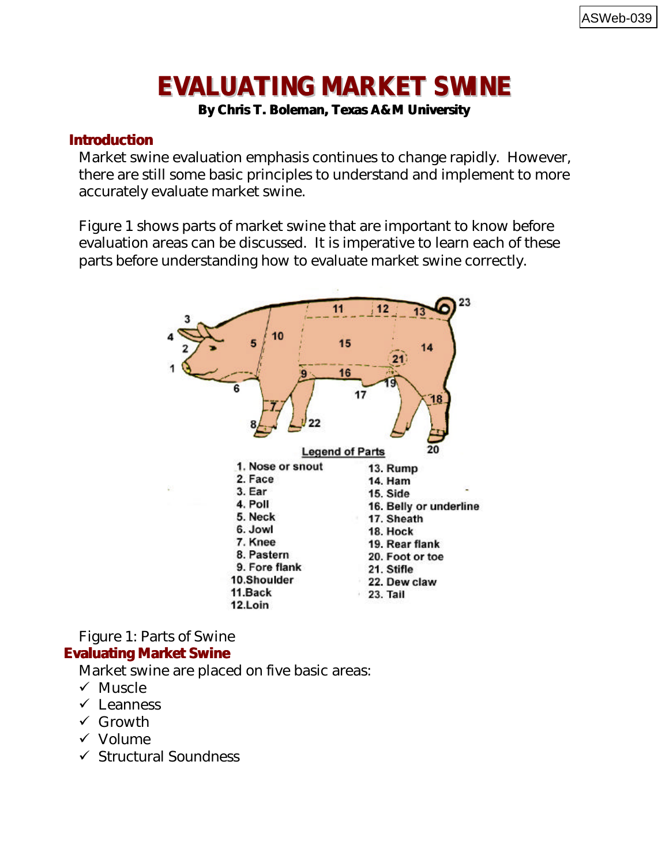# **EVALUATING MARKET SWINE**

**By Chris T. Boleman, Texas A&M University**

# **Introduction**

Market swine evaluation emphasis continues to change rapidly. However, there are still some basic principles to understand and implement to more accurately evaluate market swine.

Figure 1 shows parts of market swine that are important to know before evaluation areas can be discussed. It is imperative to learn each of these parts before understanding how to evaluate market swine correctly.



Figure 1: Parts of Swine

## **Evaluating Market Swine**

Market swine are placed on five basic areas:

- $\checkmark$  Muscle
- $\checkmark$  Leanness
- $\checkmark$  Growth
- $\checkmark$  Volume
- $\checkmark$  Structural Soundness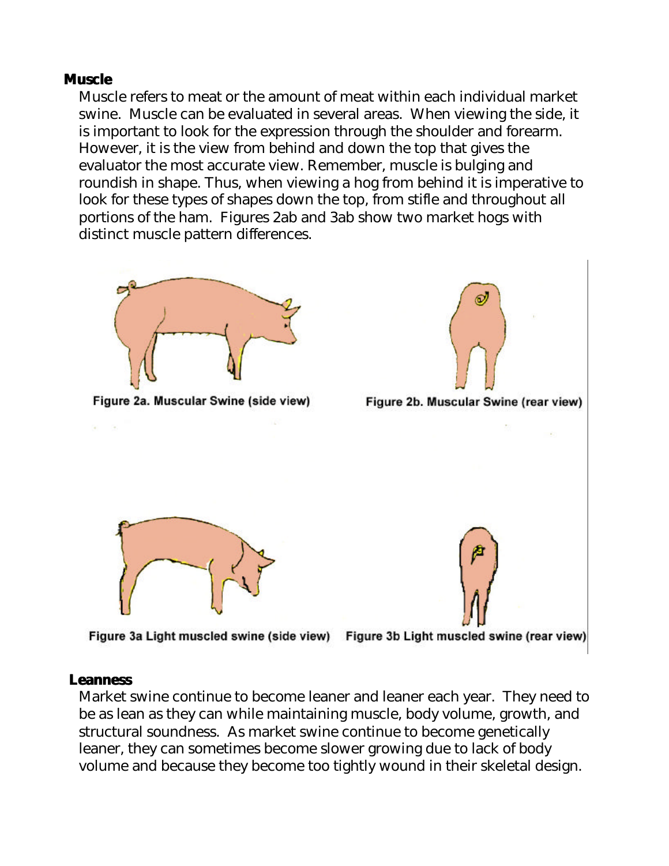#### **Muscle**

Muscle refers to meat or the amount of meat within each individual market swine. Muscle can be evaluated in several areas. When viewing the side, it is important to look for the expression through the shoulder and forearm. However, it is the view from behind and down the top that gives the evaluator the most accurate view. Remember, muscle is bulging and roundish in shape. Thus, when viewing a hog from behind it is imperative to look for these types of shapes down the top, from stifle and throughout all portions of the ham. Figures 2ab and 3ab show two market hogs with distinct muscle pattern differences.



#### **Leanness**

Market swine continue to become leaner and leaner each year. They need to be as lean as they can while maintaining muscle, body volume, growth, and structural soundness. As market swine continue to become genetically leaner, they can sometimes become slower growing due to lack of body volume and because they become too tightly wound in their skeletal design.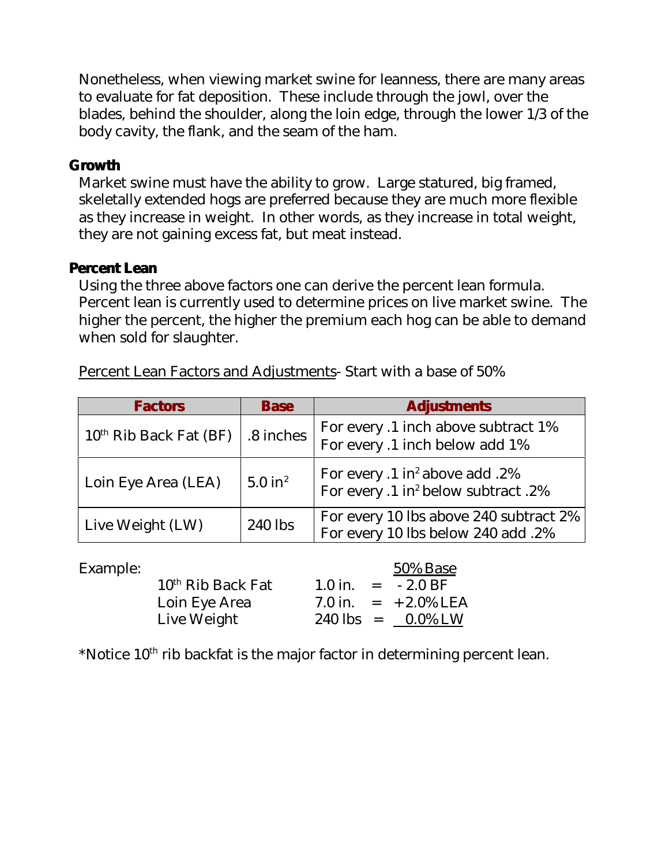Nonetheless, when viewing market swine for leanness, there are many areas to evaluate for fat deposition. These include through the jowl, over the blades, behind the shoulder, along the loin edge, through the lower 1/3 of the body cavity, the flank, and the seam of the ham.

#### **Growth**

Market swine must have the ability to grow. Large statured, big framed, skeletally extended hogs are preferred because they are much more flexible as they increase in weight. In other words, as they increase in total weight, they are not gaining excess fat, but meat instead.

## **Percent Lean**

Using the three above factors one can derive the percent lean formula. Percent lean is currently used to determine prices on live market swine. The higher the percent, the higher the premium each hog can be able to demand when sold for slaughter.

| <b>Factors</b>           | <b>Base</b>           | <b>Adjustments</b>                                                                            |  |  |
|--------------------------|-----------------------|-----------------------------------------------------------------------------------------------|--|--|
| $10th$ Rib Back Fat (BF) | .8 inches             | For every .1 inch above subtract 1%<br>For every .1 inch below add 1%                         |  |  |
| Loin Eye Area (LEA)      | $5.0$ in <sup>2</sup> | For every .1 in <sup>2</sup> above add .2%<br>For every .1 in <sup>2</sup> below subtract .2% |  |  |
| Live Weight (LW)         | 240 lbs               | For every 10 lbs above 240 subtract 2%<br>For every 10 lbs below 240 add .2%                  |  |  |

Percent Lean Factors and Adjustments- Start with a base of 50%

| Example: |                     |  | 50% Base                             |
|----------|---------------------|--|--------------------------------------|
|          | $10th$ Rib Back Fat |  | $1.0 \text{ in.} = -2.0 \text{ BF}$  |
|          | Loin Eye Area       |  | 7.0 in. $= +2.0\%$ LEA               |
|          | Live Weight         |  | $240 \text{ lbs} = 0.0\% \text{ LW}$ |

\*Notice  $10<sup>th</sup>$  rib backfat is the major factor in determining percent lean.